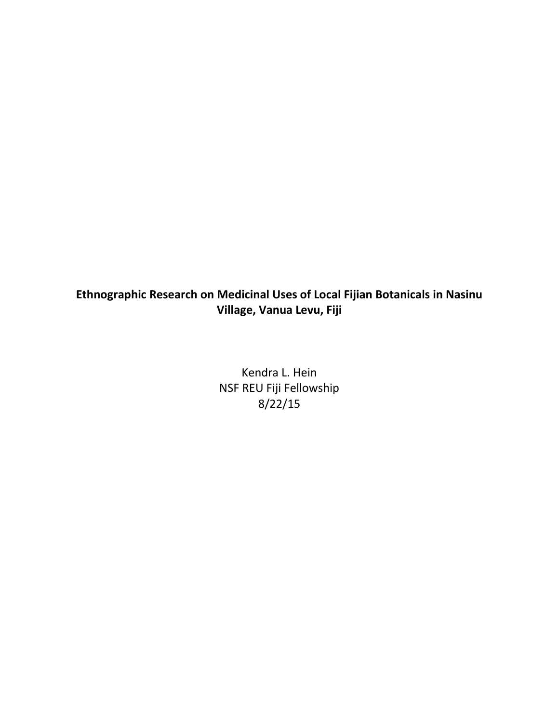## **Ethnographic Research on Medicinal Uses of Local Fijian Botanicals in Nasinu Village, Vanua Levu, Fiji**

Kendra L. Hein NSF REU Fiji Fellowship 8/22/15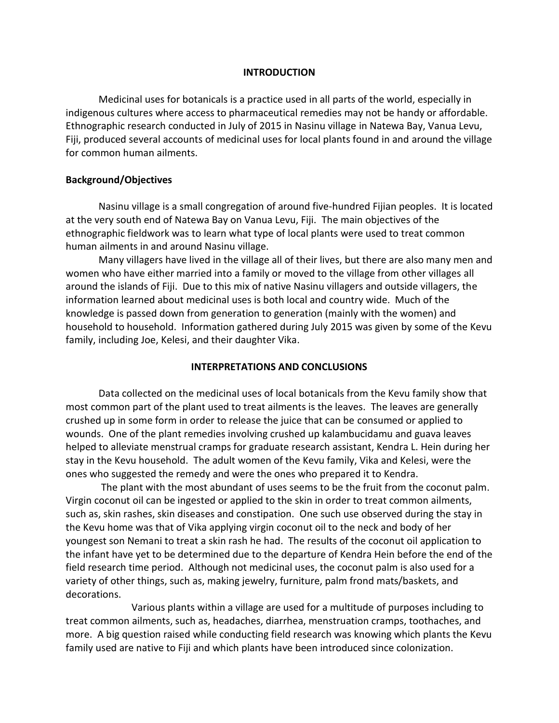## **INTRODUCTION**

Medicinal uses for botanicals is a practice used in all parts of the world, especially in indigenous cultures where access to pharmaceutical remedies may not be handy or affordable. Ethnographic research conducted in July of 2015 in Nasinu village in Natewa Bay, Vanua Levu, Fiji, produced several accounts of medicinal uses for local plants found in and around the village for common human ailments.

## **Background/Objectives**

Nasinu village is a small congregation of around five-hundred Fijian peoples. It is located at the very south end of Natewa Bay on Vanua Levu, Fiji. The main objectives of the ethnographic fieldwork was to learn what type of local plants were used to treat common human ailments in and around Nasinu village.

Many villagers have lived in the village all of their lives, but there are also many men and women who have either married into a family or moved to the village from other villages all around the islands of Fiji. Due to this mix of native Nasinu villagers and outside villagers, the information learned about medicinal uses is both local and country wide. Much of the knowledge is passed down from generation to generation (mainly with the women) and household to household. Information gathered during July 2015 was given by some of the Kevu family, including Joe, Kelesi, and their daughter Vika.

## **INTERPRETATIONS AND CONCLUSIONS**

Data collected on the medicinal uses of local botanicals from the Kevu family show that most common part of the plant used to treat ailments is the leaves. The leaves are generally crushed up in some form in order to release the juice that can be consumed or applied to wounds. One of the plant remedies involving crushed up kalambucidamu and guava leaves helped to alleviate menstrual cramps for graduate research assistant, Kendra L. Hein during her stay in the Kevu household. The adult women of the Kevu family, Vika and Kelesi, were the ones who suggested the remedy and were the ones who prepared it to Kendra.

The plant with the most abundant of uses seems to be the fruit from the coconut palm. Virgin coconut oil can be ingested or applied to the skin in order to treat common ailments, such as, skin rashes, skin diseases and constipation. One such use observed during the stay in the Kevu home was that of Vika applying virgin coconut oil to the neck and body of her youngest son Nemani to treat a skin rash he had. The results of the coconut oil application to the infant have yet to be determined due to the departure of Kendra Hein before the end of the field research time period. Although not medicinal uses, the coconut palm is also used for a variety of other things, such as, making jewelry, furniture, palm frond mats/baskets, and decorations.

Various plants within a village are used for a multitude of purposes including to treat common ailments, such as, headaches, diarrhea, menstruation cramps, toothaches, and more. A big question raised while conducting field research was knowing which plants the Kevu family used are native to Fiji and which plants have been introduced since colonization.